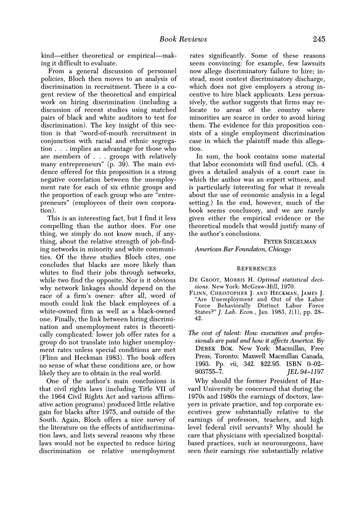**The cost of talent: How executives and professionals are paid and how it affects America. By DEREK BOK. New York: Macmillan, Free Press; Toronto: Maxwell Macmillan Canada, 1993. Pp. vii, 342. \$22.95. ISBN 0-02- 903755-7. JEL 94-1197** 

**Why should the former President of Harvard University be concerned that during the 1970s and 1980s the earnings of doctors, lawyers in private practice, and top corporate executives grew substantially relative to the earnings of professors, teachers, and high level federal civil servants? Why should he care that physicians with specialized hospitalbased practices, such as neurosurgeons, have seen their earnings rise substantially relative**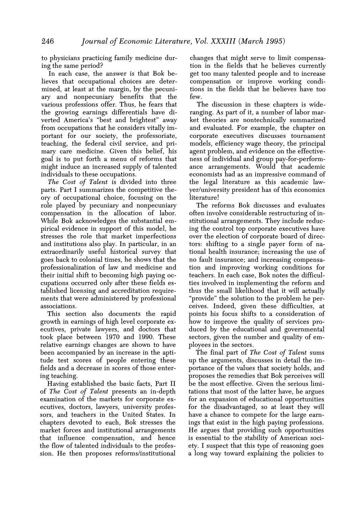**to physicians practicing family medicine during the same period?** 

**In each case, the answer is that Bok believes that occupational choices are determined, at least at the margin, by the pecuniary and nonpecuniary benefits that the various professions offer. Thus, he fears that the growing earnings differentials have diverted America's "best and brightest" away from occupations that he considers vitally important for our society, the professoriate, teaching, the federal civil service, and primary care medicine. Given this belief, his goal is to put forth a menu of reforms that might induce an increased supply of talented individuals to these occupations.** 

**The Cost of Talent is divided into three parts. Part I summarizes the competitive theory of occupational choice, focusing on the role played by pecuniary and nonpecuniary compensation in the allocation of labor. While Bok acknowledges the substantial empirical evidence in support of this model, he stresses the role that market imperfections and institutions also play. In particular, in an extraordinarily useful historical survey that goes back to colonial times, he shows that the professionalization of law and medicine and their initial shift to becoming high paying occupations occurred only after these fields established licensing and accreditation requirements that were administered by professional associations.** 

**This section also documents the rapid growth in earnings of high level corporate executives, private lawyers, and doctors that took place between 1970 and 1990. These relative earnings changes are shown to have been accompanied by an increase in the aptitude test scores of people entering these fields and a decrease in scores of those entering teaching.** 

**Having established the basic facts, Part II of The Cost of Talent presents an in-depth examination of the markets for corporate executives, doctors, lawyers, university professors, and teachers in the United States. In chapters devoted to each, Bok stresses the market forces and institutional arrangements that influence compensation, and hence the flow of talented individuals to the profession. He then proposes reforms/institutional**  **changes that might serve to limit compensation in the fields that he believes currently get too many talented people and to increase compensation or improve working conditions in the fields that he believes have too few.** 

**The discussion in these chapters is wideranging. As part of it, a number of labor market theories are nontechnically summarized and evaluated. For example, the chapter on corporate executives discusses tournament models, efficiency wage theory, the principal agent problem, and evidence on the effectiveness of individual and group pay-for-performance arrangements. Would that academic economists had as an impressive command of the legal literature as this academic lawyer/university president has of this economics literature!** 

**The reforms Bok discusses and evaluates often involve considerable restructuring of institutional arrangements. They include reducing the control top corporate executives have over the election of corporate board of directors: shifting to a single payer form of national health insurance; increasing the use of no fault insurance; and increasing compensation and improving working conditions for teachers. In each case, Bok notes the difficulties involved in implementing the reform and thus the small likelihood that it will actually "provide" the solution to the problem he perceives. Indeed, given these difficulties, at points his focus shifts to a consideration of how to improve the quality of services produced by the educational and governmental sectors, given the number and quality of employees in the sectors.** 

**The final part of The Cost of Talent sums up the arguments, discusses in detail the importance of the values that society holds, and proposes the remedies that Bok perceives will be the most effective. Given the serious limitations that most of the latter have, he argues for an expansion of educational opportunities for the disadvantaged, so at least they will have a chance to compete for the large earnings that exist in the high paying professions. He argues that providing such opportunities is essential to the stability of American society. I suspect that this type of reasoning goes a long way toward explaining the policies to**